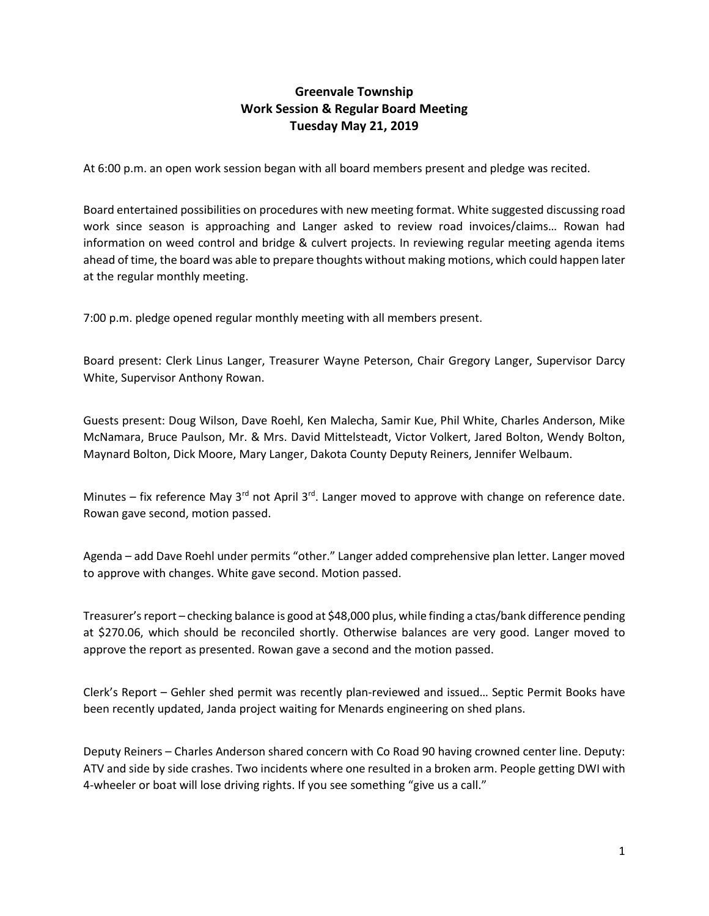## **Greenvale Township Work Session & Regular Board Meeting Tuesday May 21, 2019**

At 6:00 p.m. an open work session began with all board members present and pledge was recited.

Board entertained possibilities on procedures with new meeting format. White suggested discussing road work since season is approaching and Langer asked to review road invoices/claims… Rowan had information on weed control and bridge & culvert projects. In reviewing regular meeting agenda items ahead of time, the board was able to prepare thoughts without making motions, which could happen later at the regular monthly meeting.

7:00 p.m. pledge opened regular monthly meeting with all members present.

Board present: Clerk Linus Langer, Treasurer Wayne Peterson, Chair Gregory Langer, Supervisor Darcy White, Supervisor Anthony Rowan.

Guests present: Doug Wilson, Dave Roehl, Ken Malecha, Samir Kue, Phil White, Charles Anderson, Mike McNamara, Bruce Paulson, Mr. & Mrs. David Mittelsteadt, Victor Volkert, Jared Bolton, Wendy Bolton, Maynard Bolton, Dick Moore, Mary Langer, Dakota County Deputy Reiners, Jennifer Welbaum.

Minutes – fix reference May  $3^{rd}$  not April  $3^{rd}$ . Langer moved to approve with change on reference date. Rowan gave second, motion passed.

Agenda – add Dave Roehl under permits "other." Langer added comprehensive plan letter. Langer moved to approve with changes. White gave second. Motion passed.

Treasurer's report – checking balance is good at \$48,000 plus, while finding a ctas/bank difference pending at \$270.06, which should be reconciled shortly. Otherwise balances are very good. Langer moved to approve the report as presented. Rowan gave a second and the motion passed.

Clerk's Report – Gehler shed permit was recently plan-reviewed and issued… Septic Permit Books have been recently updated, Janda project waiting for Menards engineering on shed plans.

Deputy Reiners – Charles Anderson shared concern with Co Road 90 having crowned center line. Deputy: ATV and side by side crashes. Two incidents where one resulted in a broken arm. People getting DWI with 4-wheeler or boat will lose driving rights. If you see something "give us a call."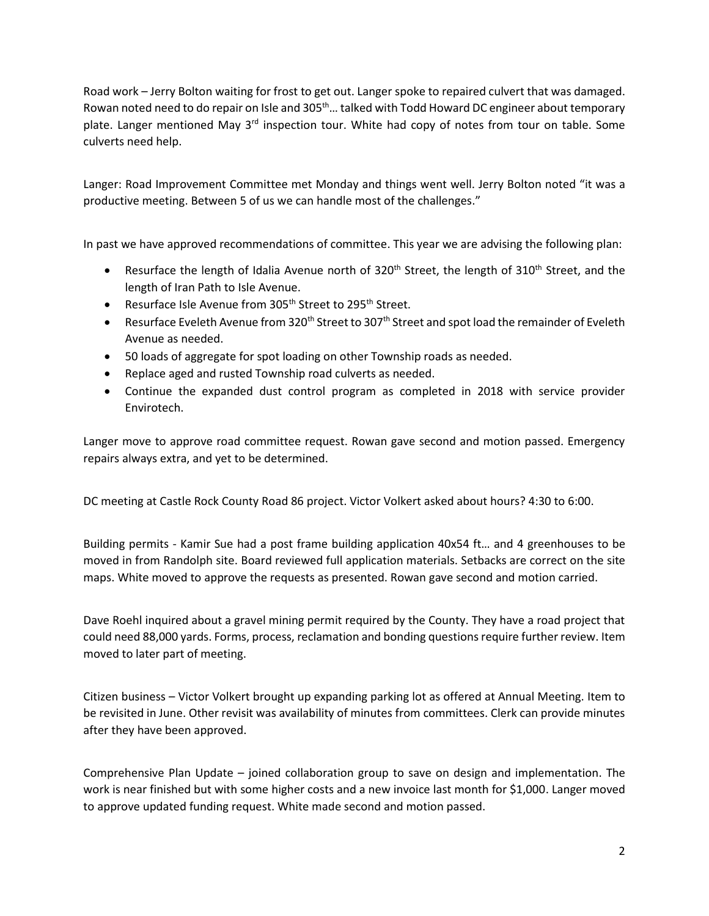Road work – Jerry Bolton waiting for frost to get out. Langer spoke to repaired culvert that was damaged. Rowan noted need to do repair on Isle and 305<sup>th</sup>... talked with Todd Howard DC engineer about temporary plate. Langer mentioned May  $3<sup>rd</sup>$  inspection tour. White had copy of notes from tour on table. Some culverts need help.

Langer: Road Improvement Committee met Monday and things went well. Jerry Bolton noted "it was a productive meeting. Between 5 of us we can handle most of the challenges."

In past we have approved recommendations of committee. This year we are advising the following plan:

- Resurface the length of Idalia Avenue north of 320<sup>th</sup> Street, the length of 310<sup>th</sup> Street, and the length of Iran Path to Isle Avenue.
- Resurface Isle Avenue from 305<sup>th</sup> Street to 295<sup>th</sup> Street.
- Resurface Eveleth Avenue from 320<sup>th</sup> Street to 307<sup>th</sup> Street and spot load the remainder of Eveleth Avenue as needed.
- 50 loads of aggregate for spot loading on other Township roads as needed.
- Replace aged and rusted Township road culverts as needed.
- Continue the expanded dust control program as completed in 2018 with service provider Envirotech.

Langer move to approve road committee request. Rowan gave second and motion passed. Emergency repairs always extra, and yet to be determined.

DC meeting at Castle Rock County Road 86 project. Victor Volkert asked about hours? 4:30 to 6:00.

Building permits - Kamir Sue had a post frame building application 40x54 ft… and 4 greenhouses to be moved in from Randolph site. Board reviewed full application materials. Setbacks are correct on the site maps. White moved to approve the requests as presented. Rowan gave second and motion carried.

Dave Roehl inquired about a gravel mining permit required by the County. They have a road project that could need 88,000 yards. Forms, process, reclamation and bonding questions require further review. Item moved to later part of meeting.

Citizen business – Victor Volkert brought up expanding parking lot as offered at Annual Meeting. Item to be revisited in June. Other revisit was availability of minutes from committees. Clerk can provide minutes after they have been approved.

Comprehensive Plan Update – joined collaboration group to save on design and implementation. The work is near finished but with some higher costs and a new invoice last month for \$1,000. Langer moved to approve updated funding request. White made second and motion passed.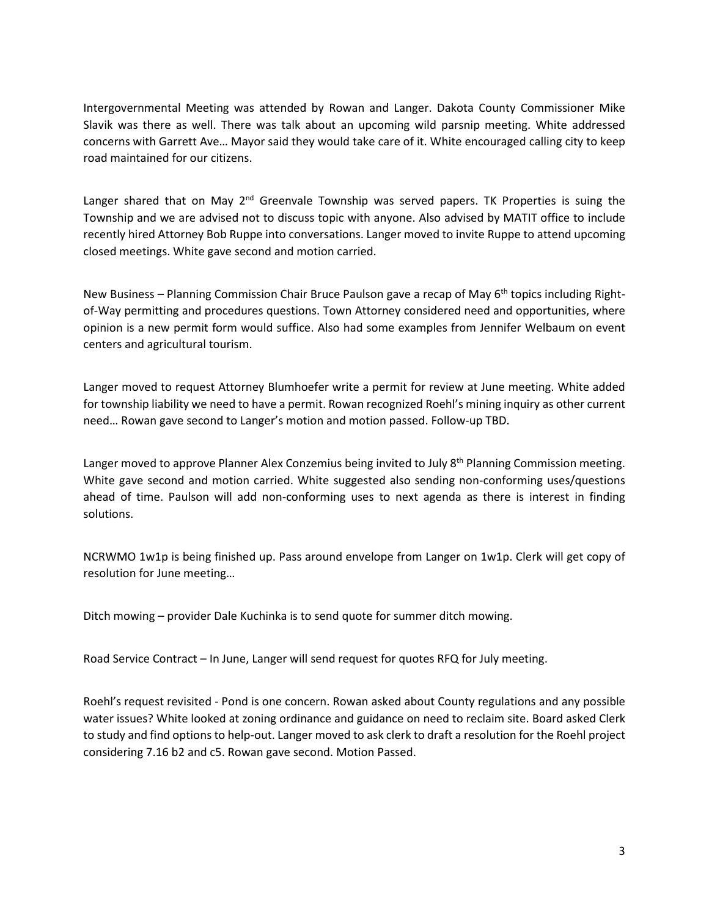Intergovernmental Meeting was attended by Rowan and Langer. Dakota County Commissioner Mike Slavik was there as well. There was talk about an upcoming wild parsnip meeting. White addressed concerns with Garrett Ave… Mayor said they would take care of it. White encouraged calling city to keep road maintained for our citizens.

Langer shared that on May  $2^{nd}$  Greenvale Township was served papers. TK Properties is suing the Township and we are advised not to discuss topic with anyone. Also advised by MATIT office to include recently hired Attorney Bob Ruppe into conversations. Langer moved to invite Ruppe to attend upcoming closed meetings. White gave second and motion carried.

New Business – Planning Commission Chair Bruce Paulson gave a recap of May  $6<sup>th</sup>$  topics including Rightof-Way permitting and procedures questions. Town Attorney considered need and opportunities, where opinion is a new permit form would suffice. Also had some examples from Jennifer Welbaum on event centers and agricultural tourism.

Langer moved to request Attorney Blumhoefer write a permit for review at June meeting. White added for township liability we need to have a permit. Rowan recognized Roehl's mining inquiry as other current need… Rowan gave second to Langer's motion and motion passed. Follow-up TBD.

Langer moved to approve Planner Alex Conzemius being invited to July 8<sup>th</sup> Planning Commission meeting. White gave second and motion carried. White suggested also sending non-conforming uses/questions ahead of time. Paulson will add non-conforming uses to next agenda as there is interest in finding solutions.

NCRWMO 1w1p is being finished up. Pass around envelope from Langer on 1w1p. Clerk will get copy of resolution for June meeting…

Ditch mowing – provider Dale Kuchinka is to send quote for summer ditch mowing.

Road Service Contract – In June, Langer will send request for quotes RFQ for July meeting.

Roehl's request revisited - Pond is one concern. Rowan asked about County regulations and any possible water issues? White looked at zoning ordinance and guidance on need to reclaim site. Board asked Clerk to study and find options to help-out. Langer moved to ask clerk to draft a resolution for the Roehl project considering 7.16 b2 and c5. Rowan gave second. Motion Passed.